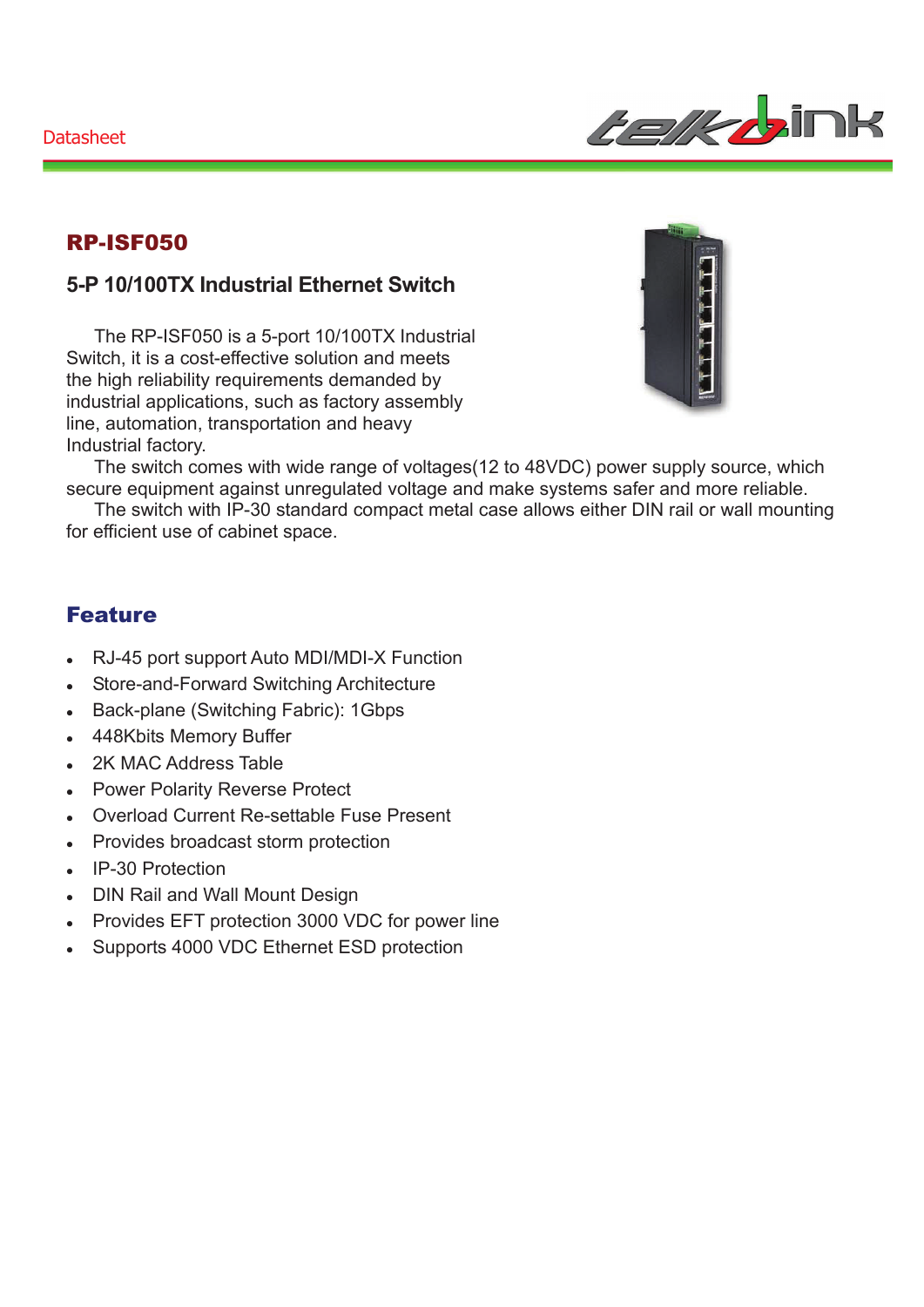

### RP-ISF050

### **5-P 10/100TX Industrial Ethernet Switch**

The RP-ISF050 is a 5-port 10/100TX Industrial Switch, it is a cost-effective solution and meets the high reliability requirements demanded by industrial applications, such as factory assembly line, automation, transportation and heavy Industrial factory.



The switch comes with wide range of voltages(12 to 48VDC) power supply source, which secure equipment against unregulated voltage and make systems safer and more reliable.

The switch with IP-30 standard compact metal case allows either DIN rail or wall mounting for efficient use of cabinet space.

#### Feature

- RJ-45 port support Auto MDI/MDI-X Function
- Store-and-Forward Switching Architecture
- Back-plane (Switching Fabric): 1Gbps
- 448Kbits Memory Buffer
- 2K MAC Address Table
- Power Polarity Reverse Protect
- Overload Current Re-settable Fuse Present
- Provides broadcast storm protection
- **IP-30 Protection**
- DIN Rail and Wall Mount Design
- Provides EFT protection 3000 VDC for power line
- Supports 4000 VDC Ethernet ESD protection